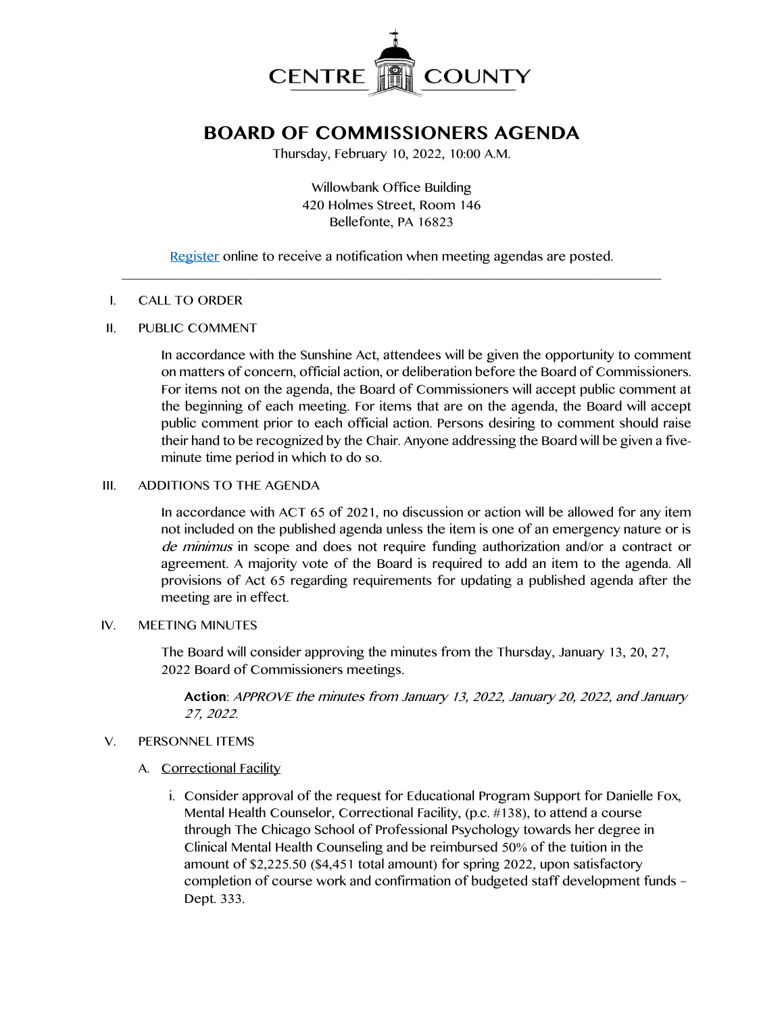

# **BOARD OF COMMISSIONERS AGENDA**

Thursday, February 10, 2022, 10:00 A.M.

Willowbank Office Building 420 Holmes Street, Room 146 Bellefonte, PA 16823

[Register](http://www.centrecountypa.gov/AgendaCenter) online to receive a notification when meeting agendas are posted.  $\mathcal{L} = \{ \mathcal{L} = \{ \mathcal{L} \mid \mathcal{L} = \{ \mathcal{L} \mid \mathcal{L} = \{ \mathcal{L} \mid \mathcal{L} = \{ \mathcal{L} \mid \mathcal{L} = \{ \mathcal{L} \mid \mathcal{L} = \{ \mathcal{L} \mid \mathcal{L} = \{ \mathcal{L} \mid \mathcal{L} = \{ \mathcal{L} \mid \mathcal{L} = \{ \mathcal{L} \mid \mathcal{L} = \{ \mathcal{L} \mid \mathcal{L} = \{ \mathcal{L} \mid \mathcal{L} = \{ \mathcal{L} \mid \mathcal{L} =$ 

#### I. CALL TO ORDER

## II. PUBLIC COMMENT

In accordance with the Sunshine Act, attendees will be given the opportunity to comment on matters of concern, official action, or deliberation before the Board of Commissioners. For items not on the agenda, the Board of Commissioners will accept public comment at the beginning of each meeting. For items that are on the agenda, the Board will accept public comment prior to each official action. Persons desiring to comment should raise their hand to be recognized by the Chair. Anyone addressing the Board will be given a fiveminute time period in which to do so.

# III. ADDITIONS TO THE AGENDA

In accordance with ACT 65 of 2021, no discussion or action will be allowed for any item not included on the published agenda unless the item is one of an emergency nature or is de minimus in scope and does not require funding authorization and/or a contract or agreement. A majority vote of the Board is required to add an item to the agenda. All provisions of Act 65 regarding requirements for updating a published agenda after the meeting are in effect.

## IV. MEETING MINUTES

The Board will consider approving the minutes from the Thursday, January 13, 20, 27, 2022 Board of Commissioners meetings.

**Action**: APPROVE the minutes from January 13, 2022, January 20, 2022, and January 27, 2022.

#### V. PERSONNEL ITEMS

- A. Correctional Facility
	- i. Consider approval of the request for Educational Program Support for Danielle Fox, Mental Health Counselor, Correctional Facility, (p.c. #138), to attend a course through The Chicago School of Professional Psychology towards her degree in Clinical Mental Health Counseling and be reimbursed 50% of the tuition in the amount of \$2,225.50 (\$4,451 total amount) for spring 2022, upon satisfactory completion of course work and confirmation of budgeted staff development funds – Dept. 333.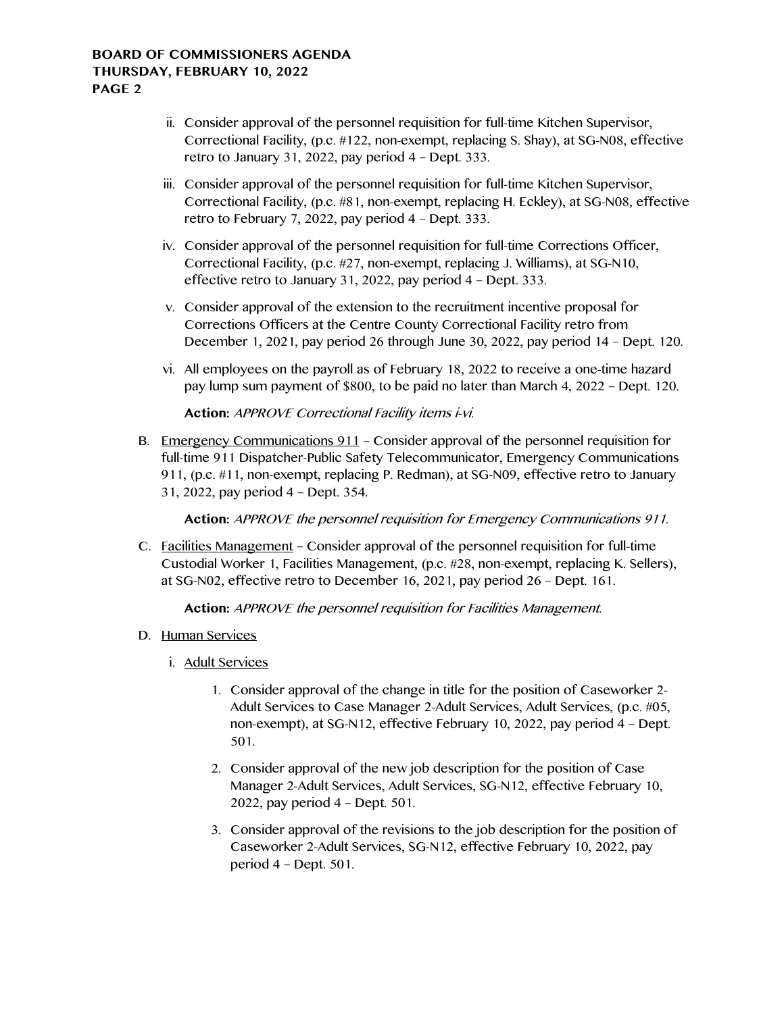- ii. Consider approval of the personnel requisition for full-time Kitchen Supervisor, Correctional Facility, (p.c. #122, non-exempt, replacing S. Shay), at SG-N08, effective retro to January 31, 2022, pay period 4 – Dept. 333.
- iii. Consider approval of the personnel requisition for full-time Kitchen Supervisor, Correctional Facility, (p.c. #81, non-exempt, replacing H. Eckley), at SG-N08, effective retro to February 7, 2022, pay period 4 – Dept. 333.
- iv. Consider approval of the personnel requisition for full-time Corrections Officer, Correctional Facility, (p.c. #27, non-exempt, replacing J. Williams), at SG-N10, effective retro to January 31, 2022, pay period 4 – Dept. 333.
- v. Consider approval of the extension to the recruitment incentive proposal for Corrections Officers at the Centre County Correctional Facility retro from December 1, 2021, pay period 26 through June 30, 2022, pay period 14 – Dept. 120.
- vi. All employees on the payroll as of February 18, 2022 to receive a one-time hazard pay lump sum payment of \$800, to be paid no later than March 4, 2022 – Dept. 120.

**Action:** APPROVE Correctional Facility items i-vi.

B. Emergency Communications 911 – Consider approval of the personnel requisition for full-time 911 Dispatcher-Public Safety Telecommunicator, Emergency Communications 911, (p.c. #11, non-exempt, replacing P. Redman), at SG-N09, effective retro to January 31, 2022, pay period 4 – Dept. 354.

**Action:** APPROVE the personnel requisition for Emergency Communications 911.

C. Facilities Management – Consider approval of the personnel requisition for full-time Custodial Worker 1, Facilities Management, (p.c. #28, non-exempt, replacing K. Sellers), at SG-N02, effective retro to December 16, 2021, pay period 26 – Dept. 161.

**Action:** APPROVE the personnel requisition for Facilities Management.

- D. Human Services
	- i. Adult Services
		- 1. Consider approval of the change in title for the position of Caseworker 2- Adult Services to Case Manager 2-Adult Services, Adult Services, (p.c. #05, non-exempt), at SG-N12, effective February 10, 2022, pay period 4 – Dept. 501.
		- 2. Consider approval of the new job description for the position of Case Manager 2-Adult Services, Adult Services, SG-N12, effective February 10, 2022, pay period 4 – Dept. 501.
		- 3. Consider approval of the revisions to the job description for the position of Caseworker 2-Adult Services, SG-N12, effective February 10, 2022, pay period 4 – Dept. 501.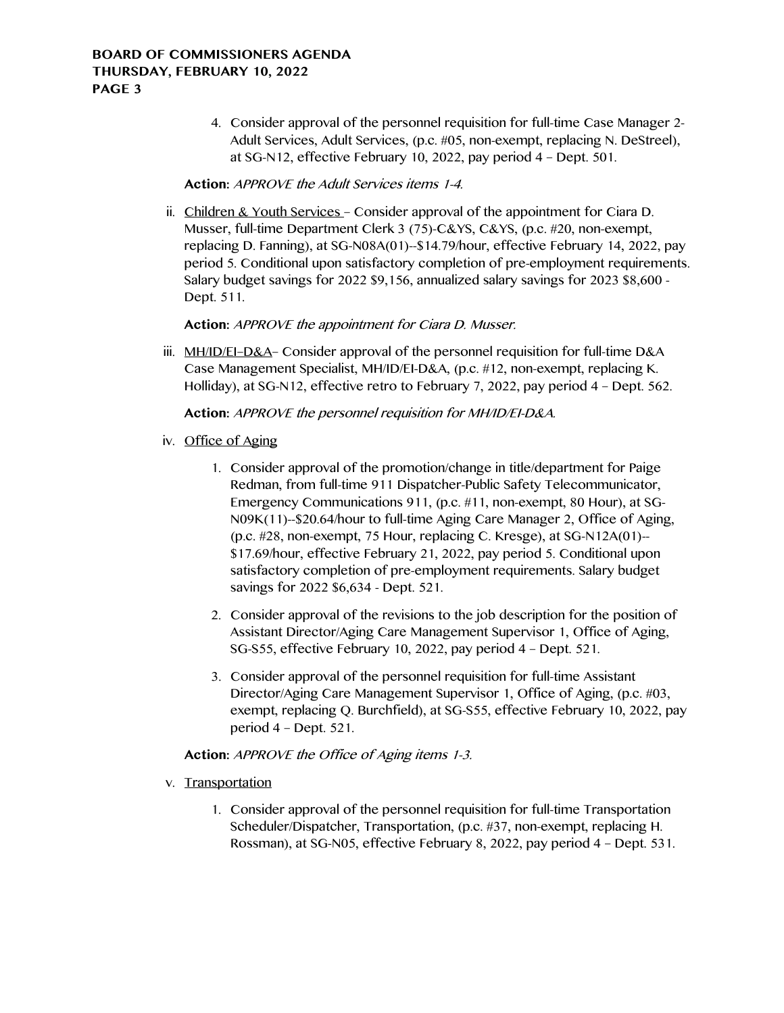# **BOARD OF COMMISSIONERS AGENDA THURSDAY, FEBRUARY 10, 2022 PAGE 3**

4. Consider approval of the personnel requisition for full-time Case Manager 2- Adult Services, Adult Services, (p.c. #05, non-exempt, replacing N. DeStreel), at SG-N12, effective February 10, 2022, pay period 4 – Dept. 501.

# **Action:** APPROVE the Adult Services items 1-4.

ii. Children & Youth Services – Consider approval of the appointment for Ciara D. Musser, full-time Department Clerk 3 (75)-C&YS, C&YS, (p.c. #20, non-exempt, replacing D. Fanning), at SG-N08A(01)--\$14.79/hour, effective February 14, 2022, pay period 5. Conditional upon satisfactory completion of pre-employment requirements. Salary budget savings for 2022 \$9,156, annualized salary savings for 2023 \$8,600 - Dept. 511.

**Action:** APPROVE the appointment for Ciara D. Musser.

iii. MH/ID/EI-D&A- Consider approval of the personnel requisition for full-time D&A Case Management Specialist, MH/ID/EI-D&A, (p.c. #12, non-exempt, replacing K. Holliday), at SG-N12, effective retro to February 7, 2022, pay period 4 – Dept. 562.

**Action:** APPROVE the personnel requisition for MH/ID/EI-D&A.

- iv. Office of Aging
	- 1. Consider approval of the promotion/change in title/department for Paige Redman, from full-time 911 Dispatcher-Public Safety Telecommunicator, Emergency Communications 911, (p.c. #11, non-exempt, 80 Hour), at SG-N09K(11)--\$20.64/hour to full-time Aging Care Manager 2, Office of Aging, (p.c. #28, non-exempt, 75 Hour, replacing C. Kresge), at SG-N12A(01)-- \$17.69/hour, effective February 21, 2022, pay period 5. Conditional upon satisfactory completion of pre-employment requirements. Salary budget savings for 2022 \$6,634 - Dept. 521.
	- 2. Consider approval of the revisions to the job description for the position of Assistant Director/Aging Care Management Supervisor 1, Office of Aging, SG-S55, effective February 10, 2022, pay period 4 – Dept. 521.
	- 3. Consider approval of the personnel requisition for full-time Assistant Director/Aging Care Management Supervisor 1, Office of Aging, (p.c. #03, exempt, replacing Q. Burchfield), at SG-S55, effective February 10, 2022, pay period 4 – Dept. 521.

# **Action:** APPROVE the Office of Aging items 1-3.

- v. Transportation
	- 1. Consider approval of the personnel requisition for full-time Transportation Scheduler/Dispatcher, Transportation, (p.c. #37, non-exempt, replacing H. Rossman), at SG-N05, effective February 8, 2022, pay period 4 – Dept. 531.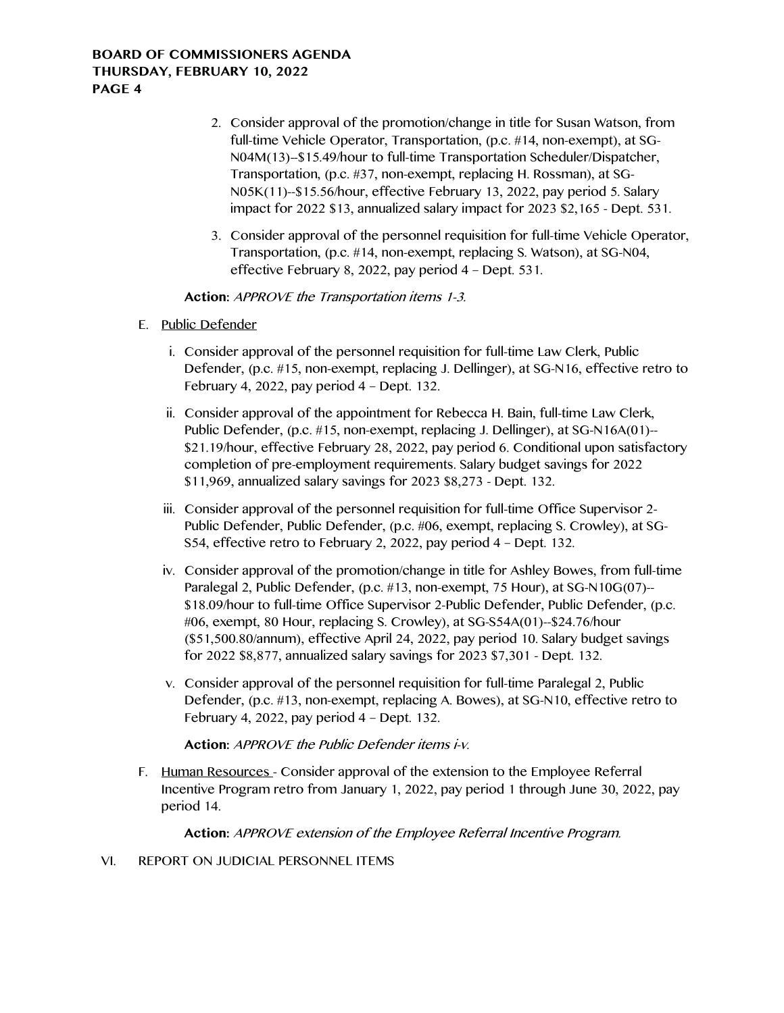# **BOARD OF COMMISSIONERS AGENDA THURSDAY, FEBRUARY 10, 2022 PAGE 4**

- 2. Consider approval of the promotion/change in title for Susan Watson, from full-time Vehicle Operator, Transportation, (p.c. #14, non-exempt), at SG-N04M(13)--\$15.49/hour to full-time Transportation Scheduler/Dispatcher, Transportation, (p.c. #37, non-exempt, replacing H. Rossman), at SG-N05K(11)--\$15.56/hour, effective February 13, 2022, pay period 5. Salary impact for 2022 \$13, annualized salary impact for 2023 \$2,165 - Dept. 531.
- 3. Consider approval of the personnel requisition for full-time Vehicle Operator, Transportation, (p.c. #14, non-exempt, replacing S. Watson), at SG-N04, effective February 8, 2022, pay period 4 – Dept. 531.

**Action:** APPROVE the Transportation items 1-3.

- E. Public Defender
	- i. Consider approval of the personnel requisition for full-time Law Clerk, Public Defender, (p.c. #15, non-exempt, replacing J. Dellinger), at SG-N16, effective retro to February 4, 2022, pay period 4 – Dept. 132.
	- ii. Consider approval of the appointment for Rebecca H. Bain, full-time Law Clerk, Public Defender, (p.c. #15, non-exempt, replacing J. Dellinger), at SG-N16A(01)-- \$21.19/hour, effective February 28, 2022, pay period 6. Conditional upon satisfactory completion of pre-employment requirements. Salary budget savings for 2022 \$11,969, annualized salary savings for 2023 \$8,273 - Dept. 132.
	- iii. Consider approval of the personnel requisition for full-time Office Supervisor 2- Public Defender, Public Defender, (p.c. #06, exempt, replacing S. Crowley), at SG-S54, effective retro to February 2, 2022, pay period 4 – Dept. 132.
	- iv. Consider approval of the promotion/change in title for Ashley Bowes, from full-time Paralegal 2, Public Defender, (p.c. #13, non-exempt, 75 Hour), at SG-N10G(07)-- \$18.09/hour to full-time Office Supervisor 2-Public Defender, Public Defender, (p.c. #06, exempt, 80 Hour, replacing S. Crowley), at SG-S54A(01)--\$24.76/hour (\$51,500.80/annum), effective April 24, 2022, pay period 10. Salary budget savings for 2022 \$8,877, annualized salary savings for 2023 \$7,301 - Dept. 132.
	- v. Consider approval of the personnel requisition for full-time Paralegal 2, Public Defender, (p.c. #13, non-exempt, replacing A. Bowes), at SG-N10, effective retro to February 4, 2022, pay period 4 – Dept. 132.

**Action:** APPROVE the Public Defender items i-v.

F. Human Resources - Consider approval of the extension to the Employee Referral Incentive Program retro from January 1, 2022, pay period 1 through June 30, 2022, pay period 14.

**Action:** APPROVE extension of the Employee Referral Incentive Program.

VI. REPORT ON JUDICIAL PERSONNEL ITEMS